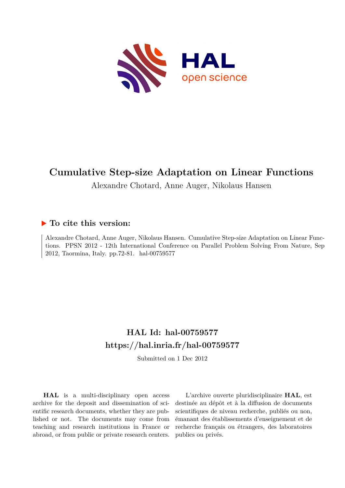

# **Cumulative Step-size Adaptation on Linear Functions**

Alexandre Chotard, Anne Auger, Nikolaus Hansen

# **To cite this version:**

Alexandre Chotard, Anne Auger, Nikolaus Hansen. Cumulative Step-size Adaptation on Linear Functions. PPSN 2012 - 12th International Conference on Parallel Problem Solving From Nature, Sep 2012, Taormina, Italy. pp.72-81. hal-00759577

# **HAL Id: hal-00759577 <https://hal.inria.fr/hal-00759577>**

Submitted on 1 Dec 2012

**HAL** is a multi-disciplinary open access archive for the deposit and dissemination of scientific research documents, whether they are published or not. The documents may come from teaching and research institutions in France or abroad, or from public or private research centers.

L'archive ouverte pluridisciplinaire **HAL**, est destinée au dépôt et à la diffusion de documents scientifiques de niveau recherche, publiés ou non, émanant des établissements d'enseignement et de recherche français ou étrangers, des laboratoires publics ou privés.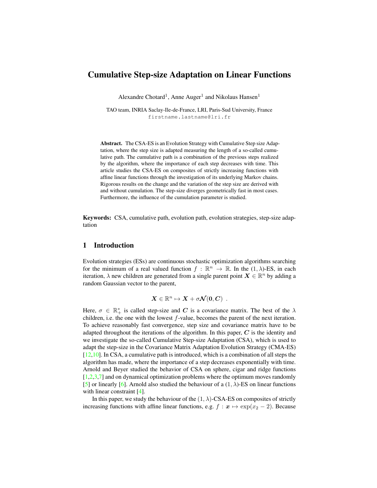# Cumulative Step-size Adaptation on Linear Functions

Alexandre Chotard<sup>1</sup>, Anne Auger<sup>1</sup> and Nikolaus Hansen<sup>1</sup>

TAO team, INRIA Saclay-Ile-de-France, LRI, Paris-Sud University, France firstname.lastname@lri.fr

Abstract. The CSA-ES is an Evolution Strategy with Cumulative Step size Adaptation, where the step size is adapted measuring the length of a so-called cumulative path. The cumulative path is a combination of the previous steps realized by the algorithm, where the importance of each step decreases with time. This article studies the CSA-ES on composites of strictly increasing functions with affine linear functions through the investigation of its underlying Markov chains. Rigorous results on the change and the variation of the step size are derived with and without cumulation. The step-size diverges geometrically fast in most cases. Furthermore, the influence of the cumulation parameter is studied.

Keywords: CSA, cumulative path, evolution path, evolution strategies, step-size adaptation

#### 1 Introduction

Evolution strategies (ESs) are continuous stochastic optimization algorithms searching for the minimum of a real valued function  $f : \mathbb{R}^n \to \mathbb{R}$ . In the  $(1, \lambda)$ -ES, in each iteration,  $\lambda$  new children are generated from a single parent point  $\mathbf{X} \in \mathbb{R}^n$  by adding a random Gaussian vector to the parent,

$$
X\in\mathbb{R}^n\mapsto X+\sigma\mathcal{N}(0,C)\enspace.
$$

Here,  $\sigma \in \mathbb{R}_+^*$  is called step-size and C is a covariance matrix. The best of the  $\lambda$ children, i.e. the one with the lowest  $f$ -value, becomes the parent of the next iteration. To achieve reasonably fast convergence, step size and covariance matrix have to be adapted throughout the iterations of the algorithm. In this paper,  $C$  is the identity and we investigate the so-called Cumulative Step-size Adaptation (CSA), which is used to adapt the step-size in the Covariance Matrix Adaptation Evolution Strategy (CMA-ES)  $[12,10]$ . In CSA, a cumulative path is introduced, which is a combination of all steps the algorithm has made, where the importance of a step decreases exponentially with time. Arnold and Beyer studied the behavior of CSA on sphere, cigar and ridge functions  $[1,2,3,7]$  and on dynamical optimization problems where the optimum moves randomly [5] or linearly [6]. Arnold also studied the behaviour of a  $(1, \lambda)$ -ES on linear functions with linear constraint [4].

In this paper, we study the behaviour of the  $(1, \lambda)$ -CSA-ES on composites of strictly increasing functions with affine linear functions, e.g.  $f : \mathbf{x} \mapsto \exp(x_2 - 2)$ . Because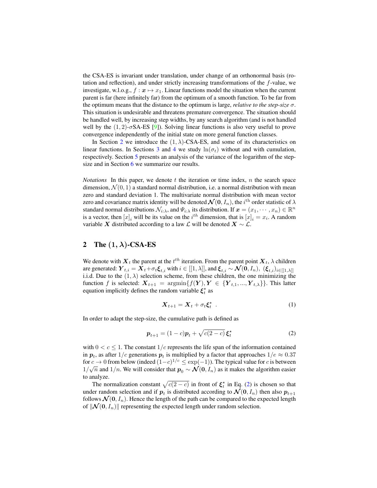the CSA-ES is invariant under translation, under change of an orthonormal basis (rotation and reflection), and under strictly increasing transformations of the f-value, we investigate, w.l.o.g.,  $f : \mathbf{x} \mapsto x_1$ . Linear functions model the situation when the current parent is far (here infinitely far) from the optimum of a smooth function. To be far from the optimum means that the distance to the optimum is large, *relative to the step-size* σ. This situation is undesirable and threatens premature convergence. The situation should be handled well, by increasing step widths, by any search algorithm (and is not handled well by the  $(1, 2)$ - $\sigma$ SA-ES [9]). Solving linear functions is also very useful to prove convergence independently of the initial state on more general function classes.

In Section 2 we introduce the  $(1, \lambda)$ -CSA-ES, and some of its characteristics on linear functions. In Sections 3 and 4 we study  $ln(\sigma_t)$  without and with cumulation, respectively. Section 5 presents an analysis of the variance of the logarithm of the stepsize and in Section 6 we summarize our results.

*Notations* In this paper, we denote  $t$  the iteration or time index,  $n$  the search space dimension,  $\mathcal{N}(0, 1)$  a standard normal distribution, i.e. a normal distribution with mean zero and standard deviation 1. The multivariate normal distribution with mean vector zero and covariance matrix identity will be denoted  $\mathcal{N}(0, I_n),$  the  $i^{\text{th}}$  order statistic of  $\lambda$ standard normal distributions  $\mathcal{N}_{i:\lambda}$ , and  $\Psi_{i:\lambda}$  its distribution. If  $\bm{x}=(x_1,\cdots,x_n)\in\mathbb{R}^n$ is a vector, then  $[x]_i$  will be its value on the  $i^{th}$  dimension, that is  $[x]_i = x_i$ . A random variable X distributed according to a law  $\mathcal L$  will be denoted  $X \sim \mathcal L$ .

# 2 The  $(1, \lambda)$ -CSA-ES

We denote with  $\boldsymbol{X}_t$  the parent at the  $t^{th}$  iteration. From the parent point  $\boldsymbol{X}_t, \lambda$  children are generated:  $Y_{t,i} = X_t + \sigma_t \xi_{t,i}$  with  $i \in [[1, \lambda]],$  and  $\xi_{t,i} \sim \mathcal{N}(0, I_n),$   $(\xi_{t,i})_{i \in [[1, \lambda]]}$ i.i.d. Due to the  $(1, \lambda)$  selection scheme, from these children, the one minimizing the function f is selected:  $X_{t+1} = \operatorname{argmin} \{f(Y), Y \in \{Y_{t,1}, ..., Y_{t,\lambda}\}\}\.$  This latter equation implicitly defines the random variable  $\xi_t^*$  as

$$
\mathbf{X}_{t+1} = \mathbf{X}_t + \sigma_t \boldsymbol{\xi}_t^\star \tag{1}
$$

In order to adapt the step-size, the cumulative path is defined as

$$
\boldsymbol{p}_{t+1} = (1-c)\boldsymbol{p}_t + \sqrt{c(2-c)}\,\boldsymbol{\xi}_t^{\star} \tag{2}
$$

with  $0 < c \leq 1$ . The constant  $1/c$  represents the life span of the information contained in  $p_t$ , as after  $1/c$  generations  $p_t$  is multiplied by a factor that approaches  $1/e \approx 0.37$ for  $c \to 0$  from below (indeed  $(1-c)^{1/c} \le \exp(-1)$ ). The typical value for c is between  $1/\sqrt{n}$  and  $1/n$ . We will consider that  $p_0 \sim \mathcal{N}(0, I_n)$  as it makes the algorithm easier to analyze.

The normalization constant  $\sqrt{c(2-c)}$  in front of  $\xi_t^*$  in Eq. (2) is chosen so that under random selection and if  $p_t$  is distributed according to  $\mathcal{N}(0, I_n)$  then also  $p_{t+1}$ follows  $\mathcal{N}(0, I_n)$ . Hence the length of the path can be compared to the expected length of  $\|\mathcal{N}(0, I_n)\|$  representing the expected length under random selection.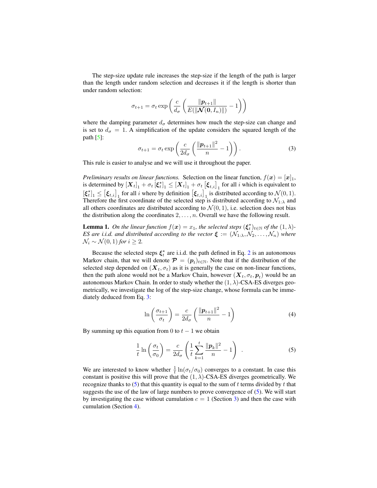The step-size update rule increases the step-size if the length of the path is larger than the length under random selection and decreases it if the length is shorter than under random selection:

$$
\sigma_{t+1} = \sigma_t \exp\left(\frac{c}{d_{\sigma}} \left(\frac{\|\boldsymbol{p}_{t+1}\|}{E(\|\boldsymbol{\mathcal{N}}(\boldsymbol{0}, I_n)\|)} - 1\right)\right)
$$

where the damping parameter  $d_{\sigma}$  determines how much the step-size can change and is set to  $d_{\sigma} = 1$ . A simplification of the update considers the squared length of the path  $\lceil 5 \rceil$ :

$$
\sigma_{t+1} = \sigma_t \exp\left(\frac{c}{2d_\sigma} \left(\frac{\|\boldsymbol{p}_{t+1}\|^2}{n} - 1\right)\right). \tag{3}
$$

This rule is easier to analyse and we will use it throughout the paper.

*Preliminary results on linear functions.* Selection on the linear function,  $f(x) = [x]_1$ , is determined by  $[\bm{X}_t]_1 + \sigma_t [\bm{\xi}_t^{\star}]_1 \leq [\bm{X}_t]_1 + \sigma_t [\bm{\xi}_{t,i}]_1$  for all *i* which is equivalent to  $[\xi_t^*]_1 \leq [\xi_{t,i}]_1$  for all i where by definition  $[\xi_{t,i}]_1$  is distributed according to  $\mathcal{N}(0,1)$ . Therefore the first coordinate of the selected step is distributed according to  $\mathcal{N}_{1:\lambda}$  and all others coordinates are distributed according to  $\mathcal{N}(0, 1)$ , i.e. selection does not bias the distribution along the coordinates  $2, \ldots, n$ . Overall we have the following result.

**Lemma 1.** On the linear function  $f(x) = x_1$ , the selected steps  $(\xi_t^{\star})_{t \in \mathbb{N}}$  of the  $(1, \lambda)$ -*ES are i.i.d. and distributed according to the vector*  $\boldsymbol{\xi} := (\mathcal{N}_{1:\lambda}, \mathcal{N}_2, \ldots, \mathcal{N}_n)$  *where*  $\mathcal{N}_i \sim \mathcal{N}(0, 1)$  *for*  $i \geq 2$ *.* 

Because the selected steps  $\xi_t^*$  are i.i.d. the path defined in Eq. 2 is an autonomous Markov chain, that we will denote  $\mathcal{P} = (p_t)_{t \in \mathbb{N}}$ . Note that if the distribution of the selected step depended on  $(X_t, \sigma_t)$  as it is generally the case on non-linear functions, then the path alone would not be a Markov Chain, however  $(\boldsymbol{X}_t, \sigma_t, \boldsymbol{p}_t)$  would be an autonomous Markov Chain. In order to study whether the  $(1, \lambda)$ -CSA-ES diverges geometrically, we investigate the log of the step-size change, whose formula can be immediately deduced from Eq. 3:

$$
\ln\left(\frac{\sigma_{t+1}}{\sigma_t}\right) = \frac{c}{2d_\sigma} \left(\frac{\|\mathbf{p}_{t+1}\|^2}{n} - 1\right) \tag{4}
$$

By summing up this equation from 0 to  $t - 1$  we obtain

$$
\frac{1}{t}\ln\left(\frac{\sigma_t}{\sigma_0}\right) = \frac{c}{2d_\sigma}\left(\frac{1}{t}\sum_{k=1}^t\frac{\|\boldsymbol{p}_k\|^2}{n} - 1\right) \tag{5}
$$

We are interested to know whether  $\frac{1}{t} \ln(\sigma_t/\sigma_0)$  converges to a constant. In case this constant is positive this will prove that the  $(1, \lambda)$ -CSA-ES diverges geometrically. We recognize thanks to  $(5)$  that this quantity is equal to the sum of t terms divided by t that suggests the use of the law of large numbers to prove convergence of (5). We will start by investigating the case without cumulation  $c = 1$  (Section 3) and then the case with cumulation (Section 4).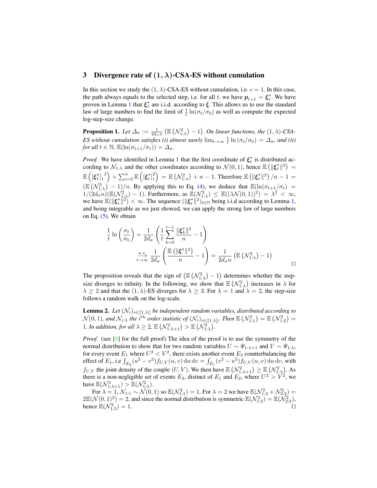#### 3 Divergence rate of  $(1, \lambda)$ -CSA-ES without cumulation

In this section we study the  $(1, \lambda)$ -CSA-ES without cumulation, i.e.  $c = 1$ . In this case, the path always equals to the selected step, i.e. for all t, we have  $p_{t+1} = \xi_t^*$ . We have proven in Lemma 1 that  $\xi_t^*$  are i.i.d. according to  $\xi$ . This allows us to use the standard law of large numbers to find the limit of  $\frac{1}{t} \ln(\sigma_t/\sigma_0)$  as well as compute the expected log-step-size change.

**Proposition 1.** Let  $\Delta_{\sigma} := \frac{1}{2d_{\sigma}n} \left( \mathbb{E} \left( \mathcal{N}_{1:\lambda}^2 \right) - 1 \right)$ . On linear functions, the  $(1, \lambda)$ -CSA-*ES without cumulation satisfies (i) almost surely*  $\lim_{t\to\infty} \frac{1}{t} \ln (\sigma_t/\sigma_0) = \Delta_{\sigma}$ , and (ii) *for all*  $t \in \mathbb{N}$ ,  $\mathbb{E}(\ln(\sigma_{t+1}/\sigma_t)) = \Delta_\sigma$ .

*Proof.* We have identified in Lemma 1 that the first coordinate of  $\xi_t^*$  is distributed according to  $\mathcal{N}_{1:\lambda}$  and the other coordinates according to  $\mathcal{N}(0,1)$ , hence  $\mathbb{E} \left( \| \boldsymbol{\xi}_t^{\star} \|^{2} \right) =$  $\mathbb{E}\left(\left[\boldsymbol{\xi}^\star_t\right]_1\right)$  $\left( \left[ \boldsymbol{\xi}^{\star}_{t} \right]_{i}^{2} \right]$  $\binom{2}{i}$  =  $\mathbb{E} \left( \mathcal{N}_{1:\lambda}^2 \right) + n - 1$ . Therefore  $\mathbb{E} \left( \| \boldsymbol{\xi}_t^\star \|^2 \right) / n - 1 = 1$  $(\mathbb{E}(\mathcal{N}_{1:\lambda}^2) - 1)/n$ . By applying this to Eq. (4), we deduce that  $\mathbb{E}(\ln(\sigma_{t+1}/\sigma_t) =$  $1/(2d_{\sigma}^2 n)(\mathbb{E}(\mathcal{N}_{1:\lambda}^2)-1)$ . Furthermore, as  $\mathbb{E}(\mathcal{N}_{1:\lambda}^2) \leq \mathbb{E}((\lambda \mathcal{N}(0,1))^2) = \lambda^2 < \infty$ , we have  $\mathbb{E}(\|\xi_t^*\|^2) < \infty$ . The sequence  $(\|\xi_t^*\|^2)_{t \in \mathbb{N}}$  being i.i.d according to Lemma 1, and being integrable as we just showed, we can apply the strong law of large numbers on Eq.  $(5)$ . We obtain

$$
\frac{1}{t} \ln \left( \frac{\sigma_t}{\sigma_0} \right) = \frac{1}{2d_{\sigma}} \left( \frac{1}{t} \sum_{k=0}^{t-1} \frac{\|\xi_k^{\star}\|^2}{n} - 1 \right)
$$
\n
$$
\xrightarrow[t \to \infty]{} \frac{a.s}{2d_{\sigma}} \left( \frac{\mathbb{E} \left( \|\xi^{\star}\|^2 \right)}{n} - 1 \right) = \frac{1}{2d_{\sigma}n} \left( \mathbb{E} \left( \mathcal{N}_{1:\lambda}^2 \right) - 1 \right)
$$

The proposition reveals that the sign of  $(\mathbb{E}(\mathcal{N}_{1:\lambda}^2) - 1)$  determines whether the stepsize diverges to infinity. In the following, we show that  $\mathbb{E}(\mathcal{N}_{1:\lambda}^2)$  increases in  $\lambda$  for  $\lambda \geq 2$  and that the  $(1, \lambda)$ -ES diverges for  $\lambda \geq 3$ . For  $\lambda = 1$  and  $\lambda = 2$ , the step-size follows a random walk on the log-scale.

**Lemma 2.** *Let*  $(\mathcal{N}_i)_{i \in [[1,\lambda]]}$  *be independent random variables, distributed according to*  $\mathcal{N}(0,1)$ *, and*  $\mathcal{N}_{i:\lambda}$  the  $i^{th}$  order statistic of  $(\mathcal{N}_i)_{i\in[[1,\lambda]]}$ . Then  $\mathbb{E}(\mathcal{N}_{1:1}^2)=\mathbb{E}(\mathcal{N}_{1:2}^2)=0$ 1*. In addition, for all*  $\lambda \geq 2$ ,  $\mathbb{E}(\mathcal{N}_{1:\lambda+1}^2) > \mathbb{E}(\mathcal{N}_{1:\lambda}^2)$ .

*Proof.* (see [8] for the full proof) The idea of the proof is to use the symmetry of the normal distribution to show that for two random variables  $U \sim \Psi_{1:\lambda+1}$  and  $V \sim \Psi_{1:\lambda}$ , for every event  $E_1$  where  $U^2 < V^2$ , there exists another event  $E_2$  counterbalancing the effect of  $E_1$ , i.e  $\int_{E_2} (u^2 - v^2) f_{U,V}(u, v) \, du \, dv = \int_{E_1} (v^2 - u^2) f_{U,V}(u, v) \, du \, dv$ , with  $f_{U,V}$  the joint density of the couple  $(U, V)$ . We then have  $\mathbb{E} \left( \mathcal{N}_{1:\lambda+1}^2 \right) \geq \mathbb{E} \left( \mathcal{N}_{1:\lambda}^2 \right)$ . As there is a non-negligible set of events  $E_3$ , distinct of  $E_1$  and  $E_2$ , where  $U^2 > V^2$ , we have  $\mathbb{E}(\mathcal{N}_{1:\lambda+1}^2) > \mathbb{E}(\mathcal{N}_{1:\lambda}^2)$ .

For  $\lambda = 1, \mathcal{N}_{1:1} \sim \mathcal{N}(0, 1)$  so  $\mathbb{E}(\mathcal{N}_{1:1}^2) = 1$ . For  $\lambda = 2$  we have  $\mathbb{E}(\mathcal{N}_{1:2}^2 + \mathcal{N}_{2:2}^2) =$  $2\mathbb{E}(\mathcal{N}(0,1)^2) = 2$ , and since the normal distribution is symmetric  $\mathbb{E}(\mathcal{N}_{1:2}^2) = \mathbb{E}(\mathcal{N}_{2:2}^2)$ , hence  $\mathbb{E}(\mathcal{N}_{1:2}^2) = 1.$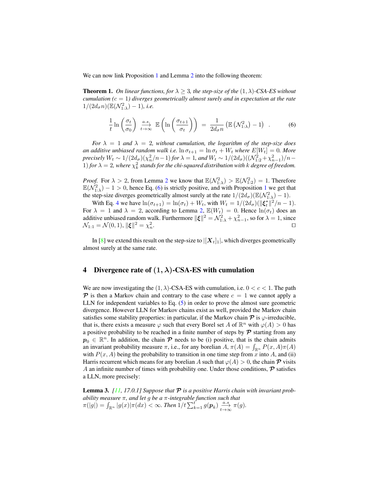We can now link Proposition 1 and Lemma 2 into the following theorem:

**Theorem 1.** On linear functions, for  $\lambda \geq 3$ , the step-size of the  $(1, \lambda)$ -CSA-ES without *cumulation (*c = 1*) diverges geometrically almost surely and in expectation at the rate*  $1/(2d_{\sigma} n)(\mathbb{E}(\mathcal{N}_{1:\lambda}^2)-1)$ *, i.e.* 

$$
\frac{1}{t}\ln\left(\frac{\sigma_t}{\sigma_0}\right) \xrightarrow[t \to \infty]{a.s.} \mathbb{E}\left(\ln\left(\frac{\sigma_{t+1}}{\sigma_t}\right)\right) = \frac{1}{2d_\sigma n} \left(\mathbb{E}\left(\mathcal{N}_{1:\lambda}^2\right) - 1\right) \tag{6}
$$

*For*  $\lambda = 1$  *and*  $\lambda = 2$ *, without cumulation, the logarithm of the step-size does an additive unbiased random walk i.e.*  $\ln \sigma_{t+1} = \ln \sigma_t + W_t$  *where*  $E[W_t] = 0$ *. More precisely*  $W_t \sim 1/(2d_\sigma)(\chi_n^2/n-1)$  *for*  $\lambda = 1$ *, and*  $W_t \sim 1/(2d_\sigma)((\mathcal{N}_{1:2}^2 + \chi_{n-1}^2)/n-1)$ 1) *for*  $\lambda = 2$ , where  $\chi_k^2$  stands for the chi-squared distribution with k degree of freedom.

*Proof.* For  $\lambda > 2$ , from Lemma 2 we know that  $\mathbb{E}(\mathcal{N}_{1:\lambda}^2) > \mathbb{E}(\mathcal{N}_{1:2}^2) = 1$ . Therefore  $\mathbb{E}(\mathcal{N}_{1:\lambda}^2) - 1 > 0$ , hence Eq. (6) is strictly positive, and with Proposition 1 we get that the step-size diverges geometrically almost surely at the rate  $1/(2d_{\sigma})(\mathbb{E}(\mathcal{N}_{1:\lambda}^2)-1)$ .

With Eq. 4 we have  $\ln(\sigma_{t+1}) = \ln(\sigma_t) + W_t$ , with  $W_t = 1/(2d_\sigma)(\|\boldsymbol{\xi}_t^*\|^2/n - 1)$ . For  $\lambda = 1$  and  $\lambda = 2$ , according to Lemma 2,  $\mathbb{E}(W_t) = 0$ . Hence  $\ln(\sigma_t)$  does an additive unbiased random walk. Furthermore  $\|\boldsymbol{\xi}\|^2 = \mathcal{N}_{1:\lambda}^2 + \chi_{n-1}^2$ , so for  $\lambda = 1$ , since  $\mathcal{N}_{1:1} = \mathcal{N}(0, 1), ||\boldsymbol{\xi}||^2 = \chi_n^2$ . The contract of the contract of the contract of the contract of the contract of the contract of the contract of the contract of the contract of the contract of the contract of the contract of the contract of the contract

In [8] we extend this result on the step-size to  $|[X_t]_1|$ , which diverges geometrically almost surely at the same rate.

#### 4 Divergence rate of  $(1, \lambda)$ -CSA-ES with cumulation

We are now investigating the  $(1, \lambda)$ -CSA-ES with cumulation, i.e.  $0 < c < 1$ . The path  $\mathcal P$  is then a Markov chain and contrary to the case where  $c = 1$  we cannot apply a LLN for independent variables to Eq. (5) in order to prove the almost sure geometric divergence. However LLN for Markov chains exist as well, provided the Markov chain satisfies some stability properties: in particular, if the Markov chain  $\mathcal P$  is  $\varphi$ -irreducible, that is, there exists a measure  $\varphi$  such that every Borel set A of  $\mathbb{R}^n$  with  $\varphi(A) > 0$  has a positive probability to be reached in a finite number of steps by  $P$  starting from any  $p_0 \in \mathbb{R}^n$ . In addition, the chain  $\mathcal P$  needs to be (i) positive, that is the chain admits an invariant probability measure  $\pi$ , i.e., for any borelian  $A$ ,  $\pi(A) = \int_{\mathbb{R}^n} P(x, A)\pi(A)$ with  $P(x, A)$  being the probability to transition in one time step from x into A, and (ii) Harris recurrent which means for any borelian A such that  $\varphi(A) > 0$ , the chain  $\mathcal P$  visits A an infinite number of times with probability one. Under those conditions,  $\mathcal P$  satisfies a LLN, more precisely:

**Lemma 3.**  $[11, 17.0.1]$  Suppose that  $\mathcal P$  is a positive Harris chain with invariant prob*ability measure* π*, and let* g *be a* π*-integrable function such that*  $\pi(|g|) = \int_{\mathbb{R}^n} |g(x)| \pi(dx) < \infty$ . Then  $1/t \sum_{k=1}^{t'} g(p_k) \frac{a.s}{t\to\infty} \pi(g)$ .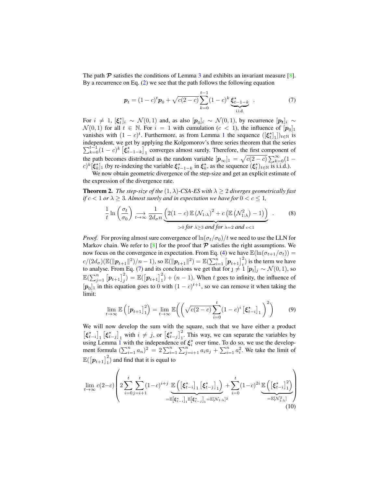The path  $\mathcal P$  satisfies the conditions of Lemma 3 and exhibits an invariant measure [8]. By a recurrence on Eq. (2) we see that the path follows the following equation

$$
\boldsymbol{p}_t = (1-c)^t \boldsymbol{p}_0 + \sqrt{c(2-c)} \sum_{k=0}^{t-1} (1-c)^k \underbrace{\boldsymbol{\xi}_{t-1-k}^\star}_{\text{i.i.d.}} \tag{7}
$$

For  $i \neq 1$ ,  $[\xi_i^{\star}]_i \sim \mathcal{N}(0,1)$  and, as also  $[p_0]_i \sim \mathcal{N}(0,1)$ , by recurrence  $[p_t]_i \sim$  $\mathcal{N}(0,1)$  for all  $t \in \mathbb{N}$ . For  $i = 1$  with cumulation  $(c < 1)$ , the influence of  $[p_0]_1$ vanishes with  $(1 - c)^t$ . Furthermore, as from Lemma 1 the sequence  $([\xi_t^*]_1)_{t \in \mathbb{N}}$  is independent, we get by applying the Kolgomorov's three series theorem that the series  $\sum_{k=0}^{t-1} (1-c)^k \left[ \xi_{t-1-k}^* \right]_1$  converges almost surely. Therefore, the first component of the path becomes distributed as the random variable  $[p_{\infty}]_1 = \sqrt{c(2-c)} \sum_{k=0}^{\infty} (1$  $c)^k$ [ $\xi_k^*$ ] (by re-indexing the variable  $\xi_{t-1-k}^*$  in  $\xi_k^*$ , as the sequence  $(\xi_t^*)_{t \in \mathbb{N}}$  is i.i.d.).

We now obtain geometric divergence of the step-size and get an explicit estimate of the expression of the divergence rate.

**Theorem 2.** *The step-size of the*  $(1, \lambda)$ -CSA-ES with  $\lambda \geq 2$  diverges geometrically fast *if*  $c < 1$  *or*  $\lambda > 3$ *. Almost surely and in expectation we have for*  $0 < c \le 1$ *,* 

$$
\frac{1}{t}\ln\left(\frac{\sigma_t}{\sigma_0}\right) \underset{t \to \infty}{\longrightarrow} \frac{1}{2d_\sigma n} \underbrace{\left(2(1-c)\mathbb{E}\left(\mathcal{N}_{1:\lambda}\right)^2 + c\left(\mathbb{E}\left(\mathcal{N}_{1:\lambda}^2\right) - 1\right)\right)}_{>0 \text{ for } \lambda \ge 3 \text{ and for } \lambda = 2 \text{ and } c < 1} \tag{8}
$$

*Proof.* For proving almost sure convergence of  $\ln(\sigma_t/\sigma_0)/t$  we need to use the LLN for Markov chain. We refer to [8] for the proof that  $\mathcal P$  satisfies the right assumptions. We now focus on the convergence in expectation. From Eq. (4) we have  $\mathbb{E}(\ln(\sigma_{t+1}/\sigma_t)) =$  $c/(2d_{\sigma})(\mathbb{E}(\|\boldsymbol{p}_{t+1}\|^2)/n-1)$ , so  $\mathbb{E}(\|\boldsymbol{p}_{t+1}\|^2) = \mathbb{E}(\sum_{i=1}^n [\boldsymbol{p}_{t+1}]_i^2)$  is the term we have to analyse. From Eq. (7) and its conclusions we get that for  $j \neq 1$   $[p_t]_j \sim \mathcal{N}(0, 1)$ , so  $\mathbb{E}(\sum_{j=1}^n \left[\mathbf{p}_{t+1}\right]_j^2) = \mathbb{E}(\left[\mathbf{p}_{t+1}\right]_1^2) + (n-1)$ . When t goes to infinity, the influence of  $[p_0]_1$  in this equation goes to 0 with  $(1 - c)^{t+1}$ , so we can remove it when taking the limit:

$$
\lim_{t \to \infty} \mathbb{E}\left(\left[\boldsymbol{p}_{t+1}\right]_{1}^{2}\right) = \lim_{t \to \infty} \mathbb{E}\left(\left(\sqrt{c(2-c)}\sum_{i=0}^{t} (1-c)^{i} \left[\boldsymbol{\xi}_{t-i}^{\star}\right]_{1}\right)^{2}\right) \tag{9}
$$

We will now develop the sum with the square, such that we have either a product  $\left[\xi_{t-i}^{\star}\right]_1$   $\left[\xi_{t-j}^{\star}\right]_1$  with  $i \neq j$ , or  $\left[\xi_{t-j}^{\star}\right]_1^2$ . This way, we can separate the variables by using Lemma 1 with the independence of  $\xi_i^*$  over time. To do so, we use the development formula  $(\sum_{i=1}^n a_i)^2 = 2\sum_{i=1}^n \sum_{j=i+1}^{n} a_i a_j + \sum_{i=1}^n a_i^2$ . We take the limit of  $\mathbb{E}(\left[\boldsymbol{p}_{t+1}\right]_1^2)$  and find that it is equal to

$$
\lim_{t\rightarrow\infty}c(2-c)\left(2\sum_{i=0}^t\sum_{j=i+1}^t(1-c)^{i+j}\underbrace{\mathbb{E}\left(\left[\xi_{t-i}^\star\right]_1\left[\xi_{t-j}^\star\right]_1\right)}_{=\mathbb{E}\left[\xi_{t-i}^\star\right]_1\mathbb{E}\left[\xi_{t-j}^\star\right]_1=\mathbb{E}[\mathcal{N}_{1:\lambda}]^2}\right)_{i=0}\underbrace{\sum_{i=0}^t(1-c)^{2i}\underbrace{\mathbb{E}\left(\left[\xi_{t-i}^\star\right]_1^2\right)}_{=\mathbb{E}[\mathcal{N}_{1:\lambda}^2]}}_{(10)}
$$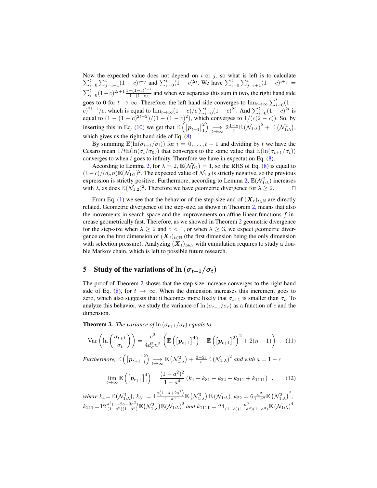Now the expected value does not depend on  $\sum$ we the expected value does not depend on *i* or *j*, so what is left is to calculate  $\sum_{i=0}^{t} \sum_{j=i+1}^{t} (1-c)^{i+j}$  and  $\sum_{i=0}^{t} (1-c)^{2i}$ . We have  $\sum_{i=0}^{t} \sum_{j=i+1}^{t} (1-c)^{i+j}$  $\sum_{i=0}^{t} (1-c)^{2i+1} \frac{1-(1-c)^{t-i}}{1-(1-c)}$  $\frac{-(1-c)}{1-(1-c)}$  and when we separates this sum in two, the right hand side goes to 0 for  $t \to \infty$ . Therefore, the left hand side converges to  $\lim_{t \to \infty} \sum_{i=0}^{t} (1 (c)^{2i+1}/c$ , which is equal to  $\lim_{t\to\infty}(1-c)/c\sum_{i=0}^{t}(1-c)^{2i}$ . And  $\sum_{i=0}^{t}(1-c)^{2i}$  is equal to  $(1 - (1 - c)^{2t+2})/(1 - (1 - c)^2)$ , which converges to  $1/(c(2 - c))$ . So, by inserting this in Eq. (10) we get that  $\mathbb{E}\left(\left[\mathbf{p}_{t+1}\right]_1^2\right) \underset{t\to\infty}{\longrightarrow} 2\frac{1-c}{c}\mathbb{E}\left(\mathcal{N}_{1:\lambda}\right)^2 + \mathbb{E}\left(\mathcal{N}_{1:\lambda}^2\right)$ , which gives us the right hand side of Eq.  $(8)$ .

By summing  $\mathbb{E}(\ln(\sigma_{i+1}/\sigma_i))$  for  $i = 0, \ldots, t-1$  and dividing by t we have the Cesaro mean  $1/t\mathbb{E}(\ln(\sigma_t/\sigma_0))$  that converges to the same value that  $\mathbb{E}(\ln(\sigma_{t+1}/\sigma_t))$ converges to when  $t$  goes to infinity. Therefore we have in expectation Eq.  $(8)$ .

According to Lemma 2, for  $\lambda = 2$ ,  $\mathbb{E}(\mathcal{N}_{1:2}^2) = 1$ , so the RHS of Eq. (8) is equal to  $(1-c)/(d_{\sigma}n)\mathbb{E}(\mathcal{N}_{1:2})^2$ . The expected value of  $\mathcal{N}_{1:2}$  is strictly negative, so the previous expression is strictly positive. Furthermore, according to Lemma 2,  $\mathbb{E}(\mathcal{N}_{1:\lambda}^2)$  increases with  $\lambda$ , as does  $\mathbb{E}(\mathcal{N}_{1:2})^2$ . Therefore we have geometric divergence for  $\lambda \geq 2$ .

From Eq. (1) we see that the behavior of the step-size and of  $(X_t)_{t\in\mathbb{N}}$  are directly related. Geometric divergence of the step-size, as shown in Theorem 2, means that also the movements in search space and the improvements on affine linear functions  $f$  increase geometrically fast. Therefore, as we showed in Theorem 2 geometric divergence for the step-size when  $\lambda \geq 2$  and  $c < 1$ , or when  $\lambda \geq 3$ , we expect geometric divergence on the first dimension of  $(X_t)_{t \in \mathbb{N}}$  (the first dimension being the only dimension with selection pressure). Analyzing  $(X_t)_{t\in\mathbb{N}}$  with cumulation requires to study a double Markov chain, which is left to possible future research.

## 5 Study of the variations of  $\ln (\sigma_{t+1}/\sigma_t)$

The proof of Theorem 2 shows that the step size increase converges to the right hand side of Eq. (8), for  $t \to \infty$ . When the dimension increases this increment goes to zero, which also suggests that it becomes more likely that  $\sigma_{t+1}$  is smaller than  $\sigma_t$ . To analyze this behavior, we study the variance of  $\ln(\sigma_{t+1}/\sigma_t)$  as a function of c and the dimension.

**Theorem 3.** *The variance of*  $\ln(\sigma_{t+1}/\sigma_t)$  *equals to* 

$$
\text{Var}\left(\ln\left(\frac{\sigma_{t+1}}{\sigma_t}\right)\right) = \frac{c^2}{4d_\sigma^2 n^2} \left(\mathbb{E}\left(\left[\boldsymbol{p}_{t+1}\right]_1^4\right) - \mathbb{E}\left(\left[\boldsymbol{p}_{t+1}\right]_1^2\right)^2 + 2(n-1)\right) \quad (11)
$$

 $Furthermore, \mathbb{E}\left(\left[\boldsymbol{p}_{t+1}\right]_1^2\right) \underset{t\rightarrow\infty}{\longrightarrow} \mathbb{E}\left(\mathcal{N}_{1:\lambda}^2\right) + \frac{2-2c}{c}\mathbb{E}\left(\mathcal{N}_{1:\lambda}\right)^2$  and with  $a=1-c$ 

$$
\lim_{t \to \infty} \mathbb{E}\left(\left[\mathbf{p}_{t+1}\right]_1^4\right) = \frac{(1 - a^2)^2}{1 - a^4} \left(k_4 + k_{31} + k_{22} + k_{211} + k_{1111}\right) ,\qquad(12)
$$

where 
$$
k_4 = \mathbb{E}(\mathcal{N}_{1:\lambda}^4)
$$
,  $k_{31} = 4 \frac{a(1+a+2a^2)}{1-a^3} \mathbb{E}(\mathcal{N}_{1:\lambda}^3) \mathbb{E}(\mathcal{N}_{1:\lambda})$ ,  $k_{22} = 6 \frac{a^2}{1-a^2} \mathbb{E}(\mathcal{N}_{1:\lambda}^2)^2$ ,  $k_{211} = 12 \frac{a^3(1+2a+3a^2)}{(1-a^2)(1-a^3)} \mathbb{E}(\mathcal{N}_{1:\lambda}^2) \mathbb{E}(\mathcal{N}_{1:\lambda})^2$  and  $k_{1111} = 24 \frac{a^6}{(1-a)(1-a^2)(1-a^3)} \mathbb{E}(\mathcal{N}_{1:\lambda})^4$ .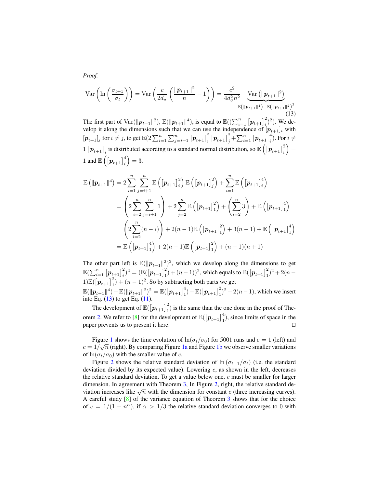$Var\left(\ln\left(\frac{\sigma_{t+1}}{\sigma_{t+1}}\right)\right)$  $\left(\frac{t+1}{\sigma_t}\right)\bigg) = \text{Var}\left(\frac{c}{2d}\right)$  $2d_{\sigma}$  $\|p_{t+1}\|^2$  $\frac{+1}{n} \left( \frac{e^{2}}{n} - 1 \right) = \frac{c^{2}}{4d_{\sigma}^{2}}$  $rac{c}{4d_{\sigma}^2 n^2}$   $\underbrace{\text{Var}\left(\|\boldsymbol{p}_{t+1}\|^2\right)}$  $\mathbb{E}\big(\|\boldsymbol{p}_{t+1}\|^4\big)$ – $\mathbb{E}\big(\|\boldsymbol{p}_{t+1}\|^2\big)^2$ (13)

The first part of  $\text{Var}(\|\boldsymbol{p}_{t+1}\|^2)$ ,  $\mathbb{E}(\|\boldsymbol{p}_{t+1}\|^4)$ , is equal to  $\mathbb{E}((\sum_{i=1}^n [\boldsymbol{p}_{t+1}]\frac{1}{i})^2)$ . We develop it along the dimensions such that we can use the independence of  $[p_{t+1}]_i$  with  $[p_{t+1}]_j$  for  $i \neq j$ , to get  $\mathbb{E}(2\sum_{i=1}^n\sum_{j=i+1}^n\left[p_{t+1}\right]_i^2\left[p_{t+1}\right]_j^2+\sum_{i=1}^n\left[p_{t+1}\right]_i^4)$ . For  $i \neq j$  $1 [p_{t+1}]_i$  is distributed according to a standard normal distribution, so  $\mathbb{E}\left[\left[p_{t+1}\right]_i^2\right] =$  $1$  and  $\mathbb{E}\left(\left[\boldsymbol{p}_{t+1}\right]_i^4\right)=3.$ 

$$
\mathbb{E}(\|\mathbf{p}_{t+1}\|^4) = 2 \sum_{i=1}^n \sum_{j=i+1}^n \mathbb{E}\left(\left[\mathbf{p}_{t+1}\right]_i^2\right) \mathbb{E}\left(\left[\mathbf{p}_{t+1}\right]_j^2\right) + \sum_{i=1}^n \mathbb{E}\left(\left[\mathbf{p}_{t+1}\right]_i^4\right)
$$
  
\n
$$
= \left(2 \sum_{i=2}^n \sum_{j=i+1}^n 1\right) + 2 \sum_{j=2}^n \mathbb{E}\left(\left[\mathbf{p}_{t+1}\right]_1^2\right) + \left(\sum_{i=2}^n 3\right) + \mathbb{E}\left(\left[\mathbf{p}_{t+1}\right]_1^4\right)
$$
  
\n
$$
= \left(2 \sum_{i=2}^n (n-i)\right) + 2(n-1) \mathbb{E}\left(\left[\mathbf{p}_{t+1}\right]_1^2\right) + 3(n-1) + \mathbb{E}\left(\left[\mathbf{p}_{t+1}\right]_1^4\right)
$$
  
\n
$$
= \mathbb{E}\left(\left[\mathbf{p}_{t+1}\right]_1^4\right) + 2(n-1) \mathbb{E}\left(\left[\mathbf{p}_{t+1}\right]_1^2\right) + (n-1)(n+1)
$$

The other part left is  $\mathbb{E}(\|\boldsymbol{p}_{t+1}\|^2)^2$ , which we develop along the dimensions to get  $\mathbb{E}(\sum_{i=1}^n \left[\pmb{p}_{t+1}\right]_i^2)^2 = \left(\mathbb{E}(\left[\pmb{p}_{t+1}\right]_1^2) + (n-1)\right)^2$ , which equals to  $\mathbb{E}(\left[\pmb{p}_{t+1}\right]_1^2)^2 + 2(n-1)$  $1\Big|\mathbb{E}\big(\big[\boldsymbol{p}_{t+1}\big]^2_1\big) + (n-1)^2$ . So by subtracting both parts we get  $\mathbb{E}(\|\boldsymbol{p}_{t+1}\|^4) - \mathbb{E}(\|\boldsymbol{p}_{t+1}\|^2)^2 = \mathbb{E}(\left[\boldsymbol{p}_{t+1}\right]_1^4) - \mathbb{E}(\left[\boldsymbol{p}_{t+1}\right]_1^2)^2 + 2(n-1)$ , which we insert into Eq.  $(13)$  to get Eq.  $(11)$ .

The development of  $\mathbb{E}(\left[\boldsymbol{p}_{t+1}\right]_1^2)$  is the same than the one done in the proof of Theorem 2. We refer to [8] for the development of  $\mathbb{E}([p_{t+1}]_1^4)$ , since limits of space in the paper prevents us to present it here.  $\Box$ 

Figure 1 shows the time evolution of  $\ln(\sigma_t/\sigma_0)$  for 5001 runs and  $c = 1$  (left) and  $c = 1/\sqrt{n}$  (right). By comparing Figure 1a and Figure 1b we observe smaller variations of  $ln(\sigma_t/\sigma_0)$  with the smaller value of c.

Figure 2 shows the relative standard deviation of  $\ln(\sigma_{t+1}/\sigma_t)$  (i.e. the standard deviation divided by its expected value). Lowering  $c$ , as shown in the left, decreases the relative standard deviation. To get a value below one, c must be smaller for larger dimension. In agreement with Theorem 3, In Figure 2, right, the relative standard dewith the dimension. In agreement with the dimension for constant c (three increasing curves). A careful study [8] of the variance equation of Theorem 3 shows that for the choice of  $c = 1/(1 + n^{\alpha})$ , if  $\alpha > 1/3$  the relative standard deviation converges to 0 with

*Proof.*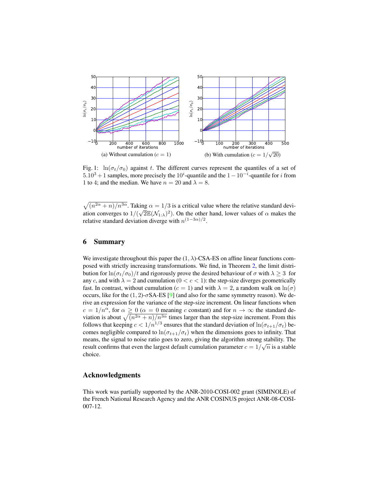

Fig. 1:  $\ln(\sigma_t/\sigma_0)$  against t. The different curves represent the quantiles of a set of  $5.10<sup>3</sup> + 1$  samples, more precisely the  $10<sup>i</sup>$ -quantile and the  $1 - 10<sup>-i</sup>$ -quantile for *i* from 1 to 4; and the median. We have  $n = 20$  and  $\lambda = 8$ .

 $\sqrt{(n^{2\alpha}+n)/n^{3\alpha}}$ . Taking  $\alpha = 1/3$  is a critical value where the relative standard deviation converges to  $1/(\sqrt{2}\mathbb{E}(\mathcal{N}_{1:\lambda})^2)$ . On the other hand, lower values of  $\alpha$  makes the relative standard deviation diverge with  $n^{(1-3\alpha)/2}$ .

### 6 Summary

We investigate throughout this paper the  $(1, \lambda)$ -CSA-ES on affine linear functions composed with strictly increasing transformations. We find, in Theorem 2, the limit distribution for  $\ln(\sigma_t/\sigma_0)/t$  and rigorously prove the desired behaviour of  $\sigma$  with  $\lambda \geq 3$  for any c, and with  $\lambda = 2$  and cumulation ( $0 < c < 1$ ): the step-size diverges geometrically fast. In contrast, without cumulation ( $c = 1$ ) and with  $\lambda = 2$ , a random walk on  $\ln(\sigma)$ occurs, like for the  $(1, 2)$ -σSA-ES [9] (and also for the same symmetry reason). We derive an expression for the variance of the step-size increment. On linear functions when  $c = 1/n^{\alpha}$ , for  $\alpha \ge 0$  ( $\alpha = 0$  meaning c constant) and for  $n \to \infty$  the standard deviation is about  $\sqrt{(n^{2\alpha}+n)/n^{3\alpha}}$  times larger than the step-size increment. From this follows that keeping  $c < 1/n^{1/3}$  ensures that the standard deviation of  $\ln(\sigma_{t+1}/\sigma_t)$  becomes negligible compared to  $ln(\sigma_{t+1}/\sigma_t)$  when the dimensions goes to infinity. That means, the signal to noise ratio goes to zero, giving the algorithm strong stability. The result confirms that even the largest default cumulation parameter  $c = 1/\sqrt{n}$  is a stable choice.

#### Acknowledgments

This work was partially supported by the ANR-2010-COSI-002 grant (SIMINOLE) of the French National Research Agency and the ANR COSINUS project ANR-08-COSI-007-12.